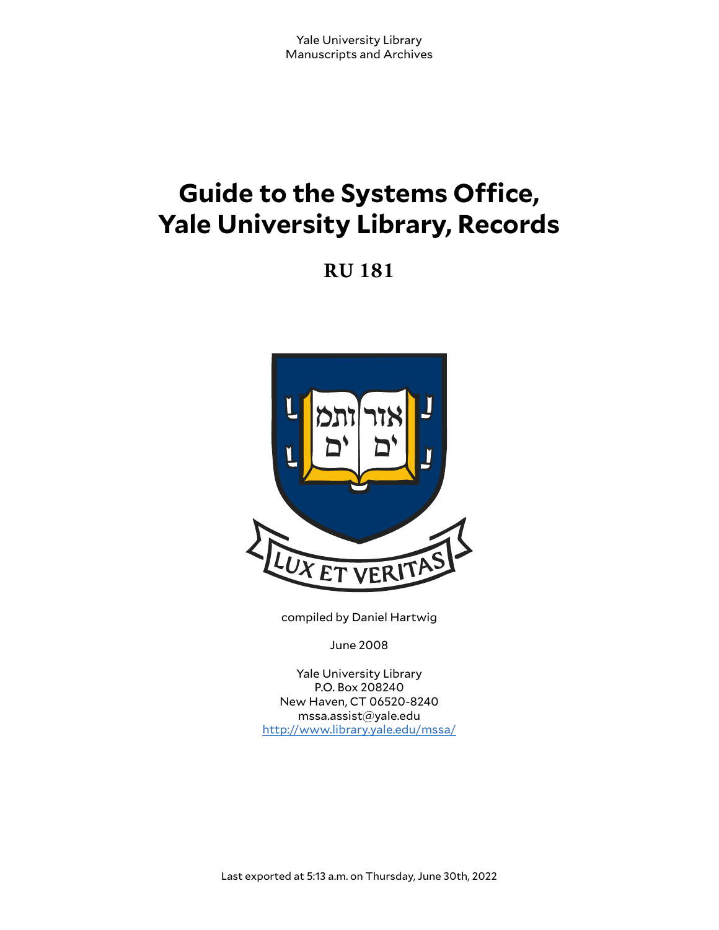# **Guide to the Systems Office, Yale University Library, Records**

**RU 181**



compiled by Daniel Hartwig

June 2008

Yale University Library P.O. Box 208240 New Haven, CT 06520-8240 mssa.assist@yale.edu <http://www.library.yale.edu/mssa/>

Last exported at 5:13 a.m. on Thursday, June 30th, 2022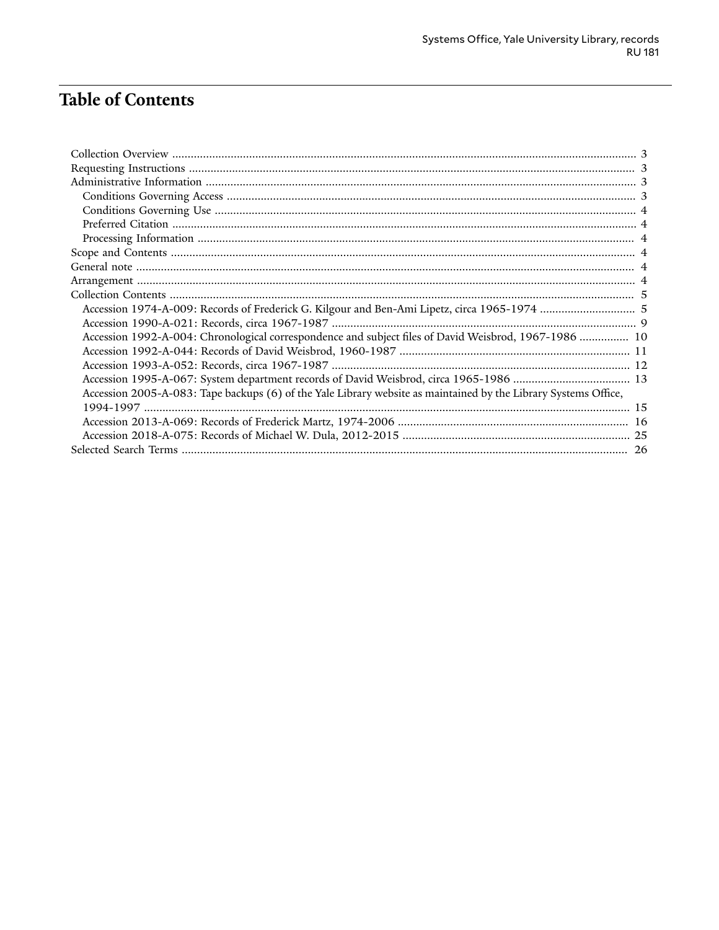## **Table of Contents**

| Accession 1992-A-004: Chronological correspondence and subject files of David Weisbrod, 1967-1986  10           |  |
|-----------------------------------------------------------------------------------------------------------------|--|
|                                                                                                                 |  |
|                                                                                                                 |  |
|                                                                                                                 |  |
| Accession 2005-A-083: Tape backups (6) of the Yale Library website as maintained by the Library Systems Office, |  |
|                                                                                                                 |  |
|                                                                                                                 |  |
|                                                                                                                 |  |
|                                                                                                                 |  |
|                                                                                                                 |  |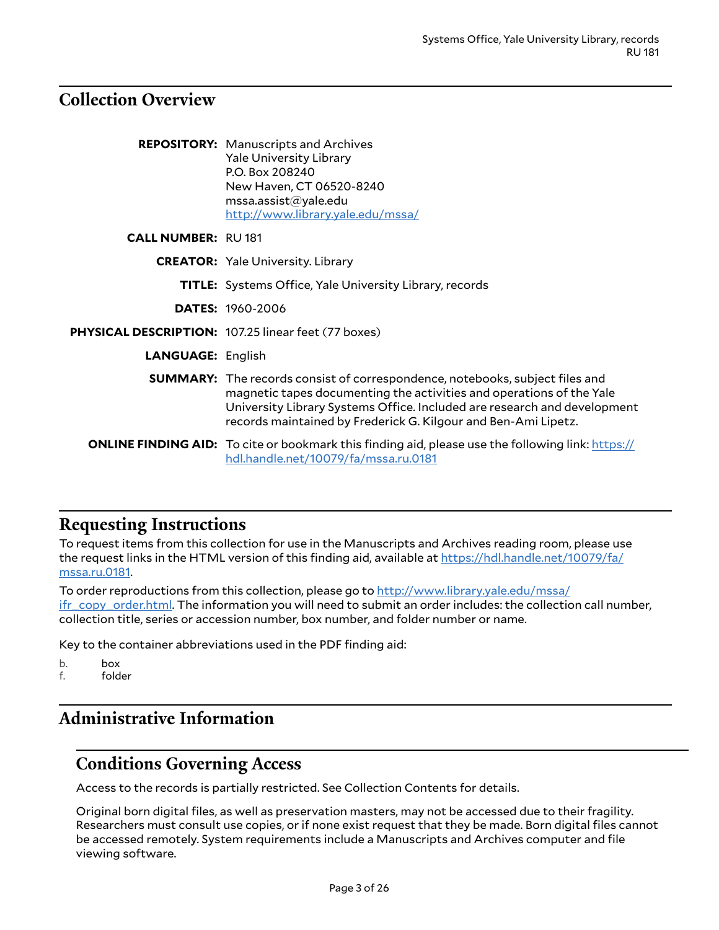### <span id="page-2-0"></span>**Collection Overview**

|                           | <b>REPOSITORY:</b> Manuscripts and Archives<br><b>Yale University Library</b><br>P.O. Box 208240<br>New Haven, CT 06520-8240<br>msa. assist@yale.edu<br>http://www.library.yale.edu/mssa/                                                                                                                 |
|---------------------------|-----------------------------------------------------------------------------------------------------------------------------------------------------------------------------------------------------------------------------------------------------------------------------------------------------------|
| <b>CALL NUMBER: RU181</b> |                                                                                                                                                                                                                                                                                                           |
|                           | <b>CREATOR:</b> Yale University. Library                                                                                                                                                                                                                                                                  |
|                           | <b>TITLE:</b> Systems Office, Yale University Library, records                                                                                                                                                                                                                                            |
|                           | <b>DATES: 1960-2006</b>                                                                                                                                                                                                                                                                                   |
|                           | <b>PHYSICAL DESCRIPTION: 107.25 linear feet (77 boxes)</b>                                                                                                                                                                                                                                                |
| <b>LANGUAGE: English</b>  |                                                                                                                                                                                                                                                                                                           |
|                           | <b>SUMMARY:</b> The records consist of correspondence, notebooks, subject files and<br>magnetic tapes documenting the activities and operations of the Yale<br>University Library Systems Office. Included are research and development<br>records maintained by Frederick G. Kilgour and Ben-Ami Lipetz. |
|                           | <b>ONLINE FINDING AID:</b> To cite or bookmark this finding aid, please use the following link: https://<br>hdl.handle.net/10079/fa/mssa.ru.0181                                                                                                                                                          |

### <span id="page-2-1"></span>**Requesting Instructions**

To request items from this collection for use in the Manuscripts and Archives reading room, please use the request links in the HTML version of this finding aid, available at [https://hdl.handle.net/10079/fa/](https://hdl.handle.net/10079/fa/mssa.ru.0181) [mssa.ru.0181](https://hdl.handle.net/10079/fa/mssa.ru.0181).

To order reproductions from this collection, please go to [http://www.library.yale.edu/mssa/](http://www.library.yale.edu/mssa/ifr_copy_order.html) [ifr\\_copy\\_order.html.](http://www.library.yale.edu/mssa/ifr_copy_order.html) The information you will need to submit an order includes: the collection call number, collection title, series or accession number, box number, and folder number or name.

Key to the container abbreviations used in the PDF finding aid:

b. box

f. folder

## <span id="page-2-2"></span>**Administrative Information**

### <span id="page-2-3"></span>**Conditions Governing Access**

Access to the records is partially restricted. See Collection Contents for details.

Original born digital files, as well as preservation masters, may not be accessed due to their fragility. Researchers must consult use copies, or if none exist request that they be made. Born digital files cannot be accessed remotely. System requirements include a Manuscripts and Archives computer and file viewing software.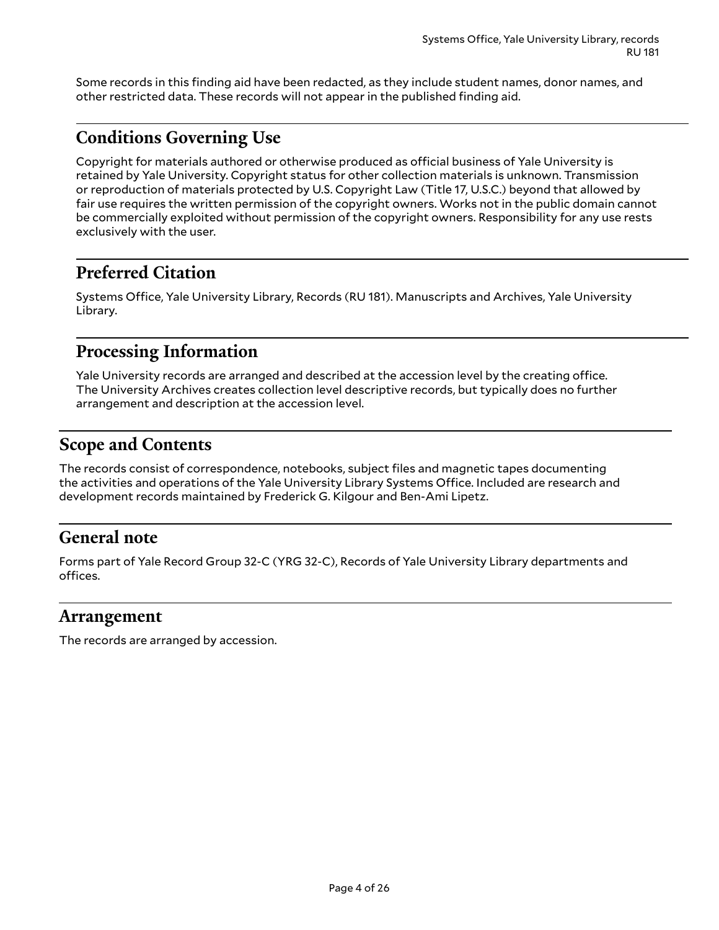Some records in this finding aid have been redacted, as they include student names, donor names, and other restricted data. These records will not appear in the published finding aid.

## <span id="page-3-0"></span>**Conditions Governing Use**

Copyright for materials authored or otherwise produced as official business of Yale University is retained by Yale University. Copyright status for other collection materials is unknown. Transmission or reproduction of materials protected by U.S. Copyright Law (Title 17, U.S.C.) beyond that allowed by fair use requires the written permission of the copyright owners. Works not in the public domain cannot be commercially exploited without permission of the copyright owners. Responsibility for any use rests exclusively with the user.

## <span id="page-3-1"></span>**Preferred Citation**

Systems Office, Yale University Library, Records (RU 181). Manuscripts and Archives, Yale University Library.

### <span id="page-3-2"></span>**Processing Information**

Yale University records are arranged and described at the accession level by the creating office. The University Archives creates collection level descriptive records, but typically does no further arrangement and description at the accession level.

## <span id="page-3-3"></span>**Scope and Contents**

The records consist of correspondence, notebooks, subject files and magnetic tapes documenting the activities and operations of the Yale University Library Systems Office. Included are research and development records maintained by Frederick G. Kilgour and Ben-Ami Lipetz.

## <span id="page-3-4"></span>**General note**

Forms part of Yale Record Group 32-C (YRG 32-C), Records of Yale University Library departments and offices.

### <span id="page-3-5"></span>**Arrangement**

The records are arranged by accession.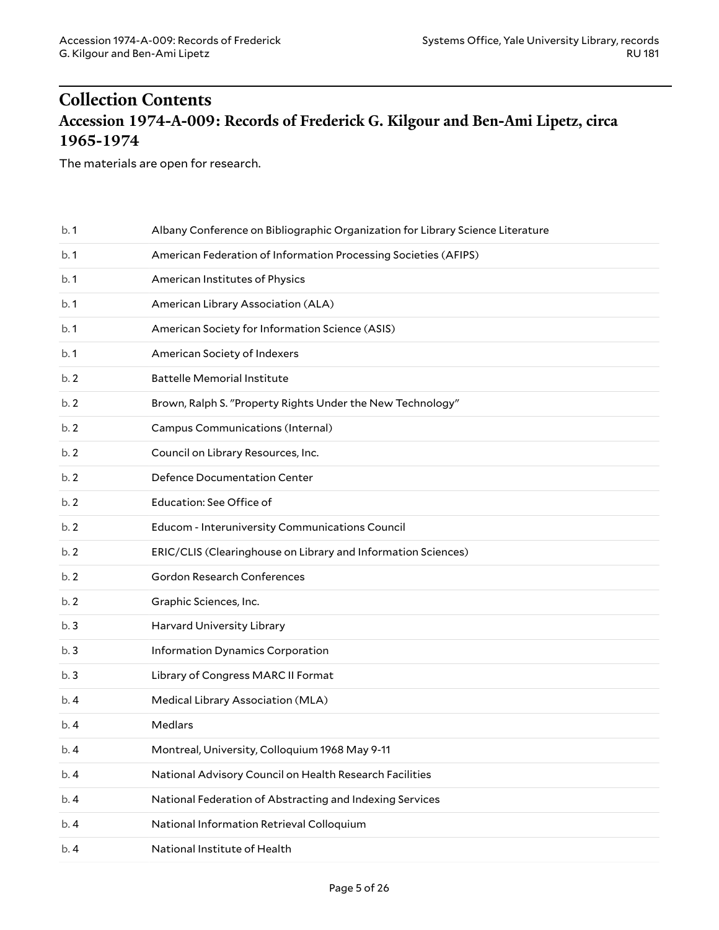## <span id="page-4-1"></span><span id="page-4-0"></span>**Collection Contents Accession 1974-A-009: Records of Frederick G. Kilgour and Ben-Ami Lipetz, circa 1965-1974**

The materials are open for research.

| b.1 | Albany Conference on Bibliographic Organization for Library Science Literature |
|-----|--------------------------------------------------------------------------------|
| b.1 | American Federation of Information Processing Societies (AFIPS)                |
| b.1 | American Institutes of Physics                                                 |
| b.1 | American Library Association (ALA)                                             |
| b.1 | American Society for Information Science (ASIS)                                |
| b.1 | American Society of Indexers                                                   |
| b.2 | <b>Battelle Memorial Institute</b>                                             |
| b.2 | Brown, Ralph S. "Property Rights Under the New Technology"                     |
| b.2 | Campus Communications (Internal)                                               |
| b.2 | Council on Library Resources, Inc.                                             |
| b.2 | Defence Documentation Center                                                   |
| b.2 | Education: See Office of                                                       |
| b.2 | Educom - Interuniversity Communications Council                                |
| b.2 | ERIC/CLIS (Clearinghouse on Library and Information Sciences)                  |
| b.2 | Gordon Research Conferences                                                    |
| b.2 | Graphic Sciences, Inc.                                                         |
| b.3 | Harvard University Library                                                     |
| b.3 | Information Dynamics Corporation                                               |
| b.3 | Library of Congress MARC II Format                                             |
| b.4 | Medical Library Association (MLA)                                              |
| b.4 | Medlars                                                                        |
| b.4 | Montreal, University, Colloquium 1968 May 9-11                                 |
| b.4 | National Advisory Council on Health Research Facilities                        |
| b.4 | National Federation of Abstracting and Indexing Services                       |
| b.4 | National Information Retrieval Colloquium                                      |
| b.4 | National Institute of Health                                                   |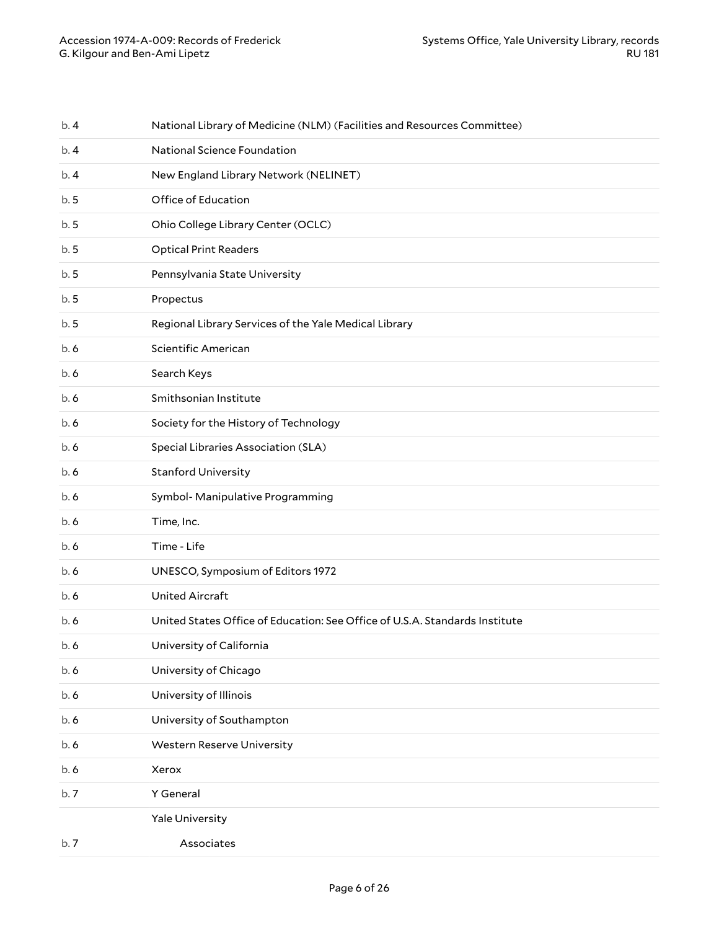| b.4  | National Library of Medicine (NLM) (Facilities and Resources Committee)     |
|------|-----------------------------------------------------------------------------|
| b. 4 | National Science Foundation                                                 |
| b.4  | New England Library Network (NELINET)                                       |
| b.5  | Office of Education                                                         |
| b.5  | Ohio College Library Center (OCLC)                                          |
| b.5  | <b>Optical Print Readers</b>                                                |
| b.5  | Pennsylvania State University                                               |
| b.5  | Propectus                                                                   |
| b.5  | Regional Library Services of the Yale Medical Library                       |
| b. 6 | Scientific American                                                         |
| b. 6 | Search Keys                                                                 |
| b. 6 | Smithsonian Institute                                                       |
| b. 6 | Society for the History of Technology                                       |
| b. 6 | Special Libraries Association (SLA)                                         |
| b. 6 | <b>Stanford University</b>                                                  |
| b. 6 | Symbol- Manipulative Programming                                            |
| b. 6 | Time, Inc.                                                                  |
| b. 6 | Time - Life                                                                 |
| b. 6 | UNESCO, Symposium of Editors 1972                                           |
| b. 6 | <b>United Aircraft</b>                                                      |
| b.6  | United States Office of Education: See Office of U.S.A. Standards Institute |
| b.6  | University of California                                                    |
| b.6  | University of Chicago                                                       |
| b.6  | University of Illinois                                                      |
| b.6  | University of Southampton                                                   |
| b.6  | <b>Western Reserve University</b>                                           |
| b.6  |                                                                             |
|      | Xerox                                                                       |
| b.7  | Y General                                                                   |
|      | Yale University                                                             |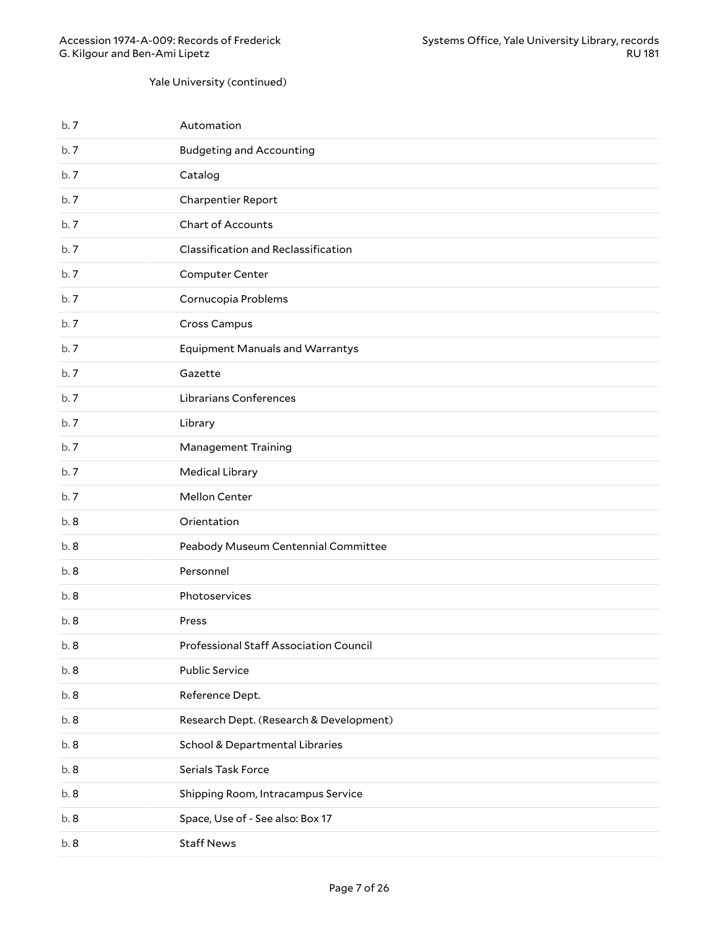#### Yale University (continued)

| b.7  | Automation                              |
|------|-----------------------------------------|
| b.7  | <b>Budgeting and Accounting</b>         |
| b.7  | Catalog                                 |
| b.7  | Charpentier Report                      |
| b.7  | Chart of Accounts                       |
| b.7  | Classification and Reclassification     |
| b.7  | <b>Computer Center</b>                  |
| b.7  | Cornucopia Problems                     |
| b.7  | Cross Campus                            |
| b.7  | <b>Equipment Manuals and Warrantys</b>  |
| b.7  | Gazette                                 |
| b.7  | Librarians Conferences                  |
| b.7  | Library                                 |
| b.7  | <b>Management Training</b>              |
| b.7  | <b>Medical Library</b>                  |
| b.7  | Mellon Center                           |
| b.8  | Orientation                             |
| b.8  | Peabody Museum Centennial Committee     |
| b.8  | Personnel                               |
| b.8  | Photoservices                           |
| b.8  | Press                                   |
| b. 8 | Professional Staff Association Council  |
| b.8  | <b>Public Service</b>                   |
| b.8  | Reference Dept.                         |
| b.8  | Research Dept. (Research & Development) |
| b.8  | School & Departmental Libraries         |
| b.8  | Serials Task Force                      |
| b.8  | Shipping Room, Intracampus Service      |
| b.8  | Space, Use of - See also: Box 17        |
| b.8  | <b>Staff News</b>                       |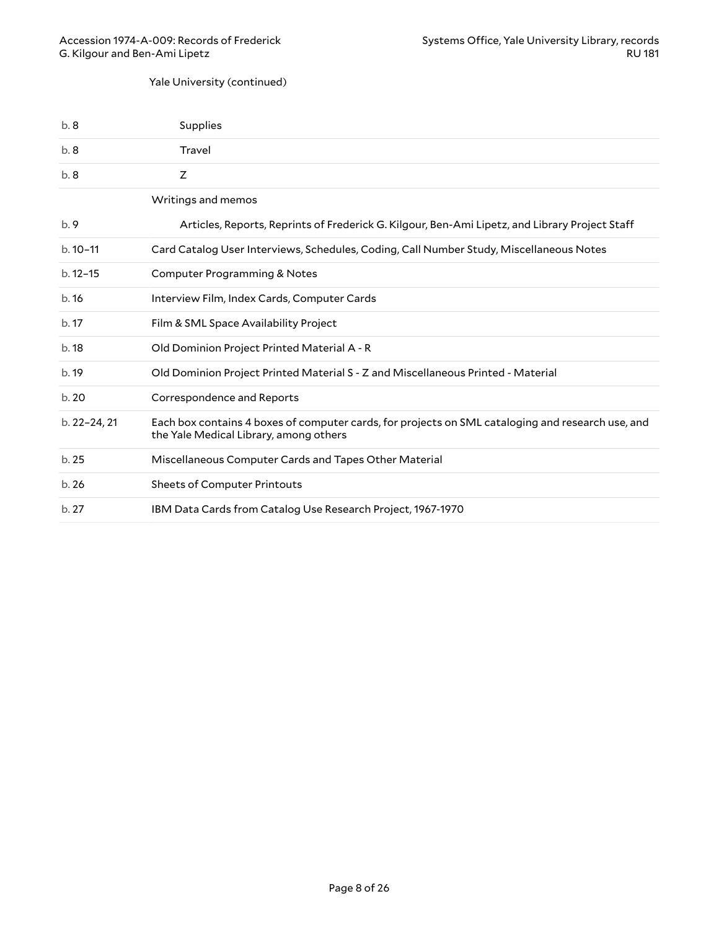#### Yale University (continued)

| b.8          | Supplies                                                                                                                                    |
|--------------|---------------------------------------------------------------------------------------------------------------------------------------------|
| b.8          | Travel                                                                                                                                      |
| b.8          | Z                                                                                                                                           |
|              | Writings and memos                                                                                                                          |
| b.9          | Articles, Reports, Reprints of Frederick G. Kilgour, Ben-Ami Lipetz, and Library Project Staff                                              |
| $b.10-11$    | Card Catalog User Interviews, Schedules, Coding, Call Number Study, Miscellaneous Notes                                                     |
| $b.12 - 15$  | Computer Programming & Notes                                                                                                                |
| b.16         | Interview Film, Index Cards, Computer Cards                                                                                                 |
| b.17         | Film & SML Space Availability Project                                                                                                       |
| b.18         | Old Dominion Project Printed Material A - R                                                                                                 |
| b.19         | Old Dominion Project Printed Material S - Z and Miscellaneous Printed - Material                                                            |
| b.20         | Correspondence and Reports                                                                                                                  |
| b. 22-24, 21 | Each box contains 4 boxes of computer cards, for projects on SML cataloging and research use, and<br>the Yale Medical Library, among others |
| b.25         | Miscellaneous Computer Cards and Tapes Other Material                                                                                       |
| b.26         | <b>Sheets of Computer Printouts</b>                                                                                                         |
| b.27         | IBM Data Cards from Catalog Use Research Project, 1967-1970                                                                                 |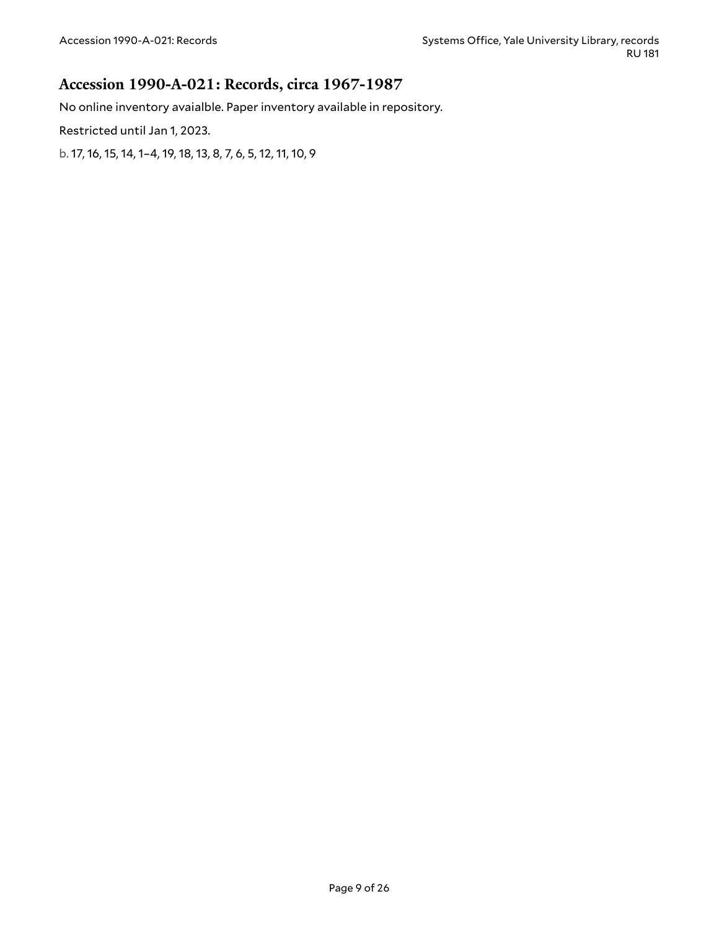### <span id="page-8-0"></span>**Accession 1990-A-021: Records, circa 1967-1987**

No online inventory avaialble. Paper inventory available in repository.

Restricted until Jan 1, 2023.

b. 17, 16, 15, 14, 1–4, 19, 18, 13, 8, 7, 6, 5, 12, 11, 10, 9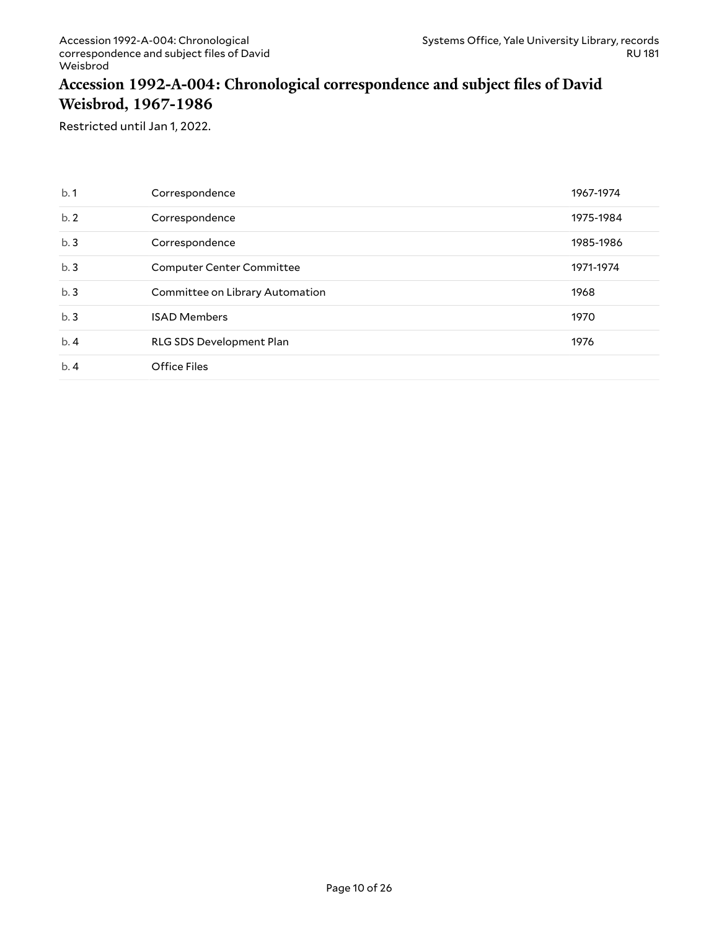### <span id="page-9-0"></span>**Accession 1992-A-004: Chronological correspondence and subject files of David Weisbrod, 1967-1986**

Restricted until Jan 1, 2022.

| b.1 | Correspondence                   | 1967-1974 |
|-----|----------------------------------|-----------|
| b.2 | Correspondence                   | 1975-1984 |
| b.3 | Correspondence                   | 1985-1986 |
| b.3 | <b>Computer Center Committee</b> | 1971-1974 |
| b.3 | Committee on Library Automation  | 1968      |
| b.3 | <b>ISAD Members</b>              | 1970      |
| b.4 | RLG SDS Development Plan         | 1976      |
| b.4 | Office Files                     |           |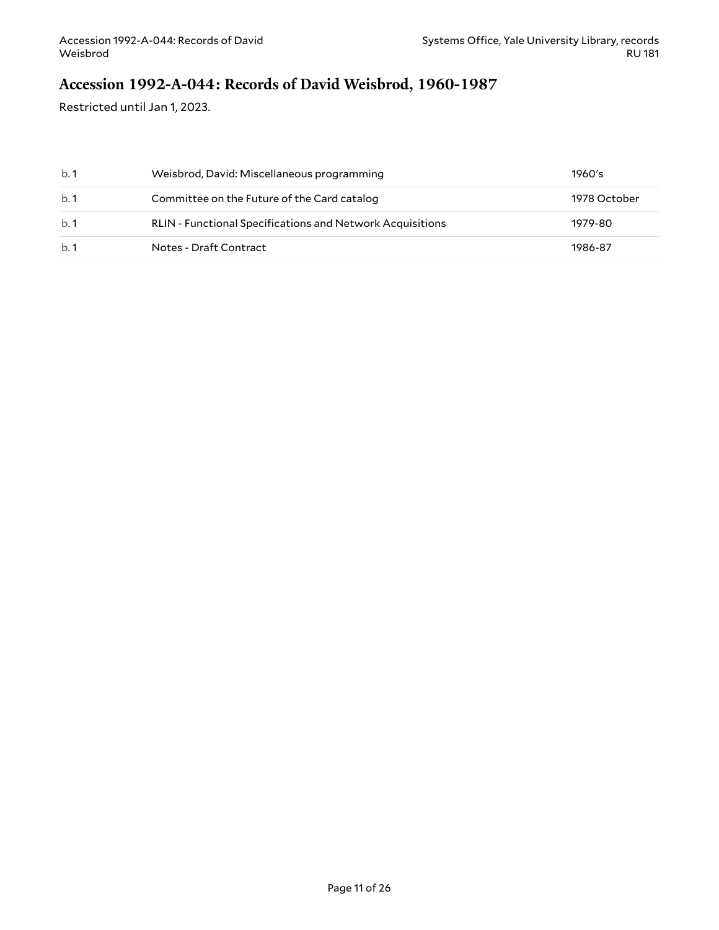## <span id="page-10-0"></span>**Accession 1992-A-044: Records of David Weisbrod, 1960-1987**

Restricted until Jan 1, 2023.

| b.1 | Weisbrod, David: Miscellaneous programming                       | 1960's       |
|-----|------------------------------------------------------------------|--------------|
| b.1 | Committee on the Future of the Card catalog                      | 1978 October |
| h.1 | <b>RLIN - Functional Specifications and Network Acquisitions</b> | 1979-80      |
| b.1 | Notes - Draft Contract                                           | 1986-87      |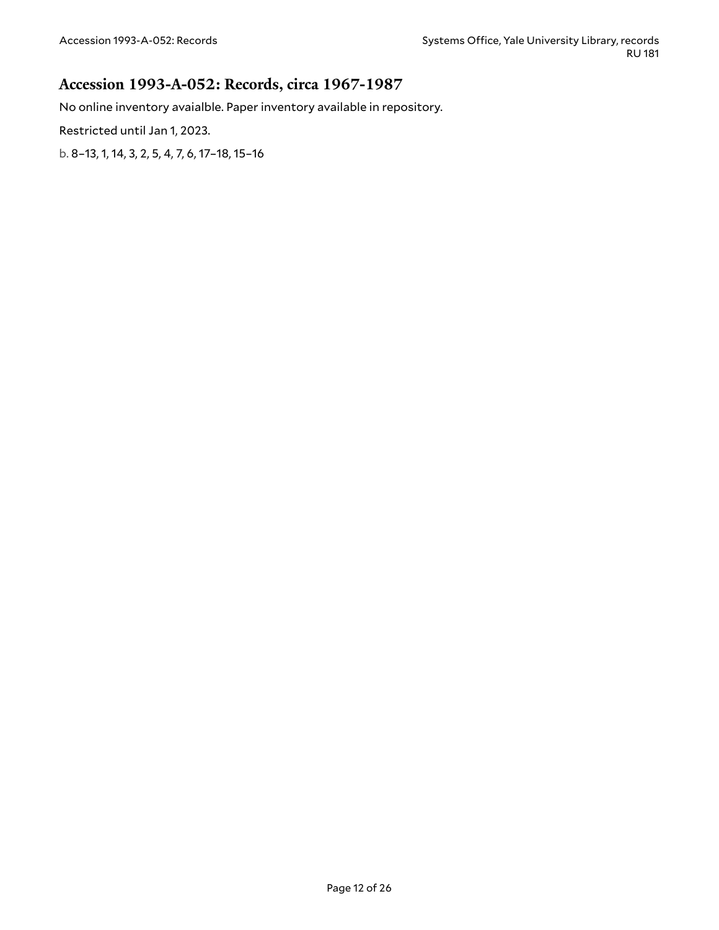#### <span id="page-11-0"></span>**Accession 1993-A-052: Records, circa 1967-1987**

No online inventory avaialble. Paper inventory available in repository.

Restricted until Jan 1, 2023.

b. 8–13, 1, 14, 3, 2, 5, 4, 7, 6, 17–18, 15–16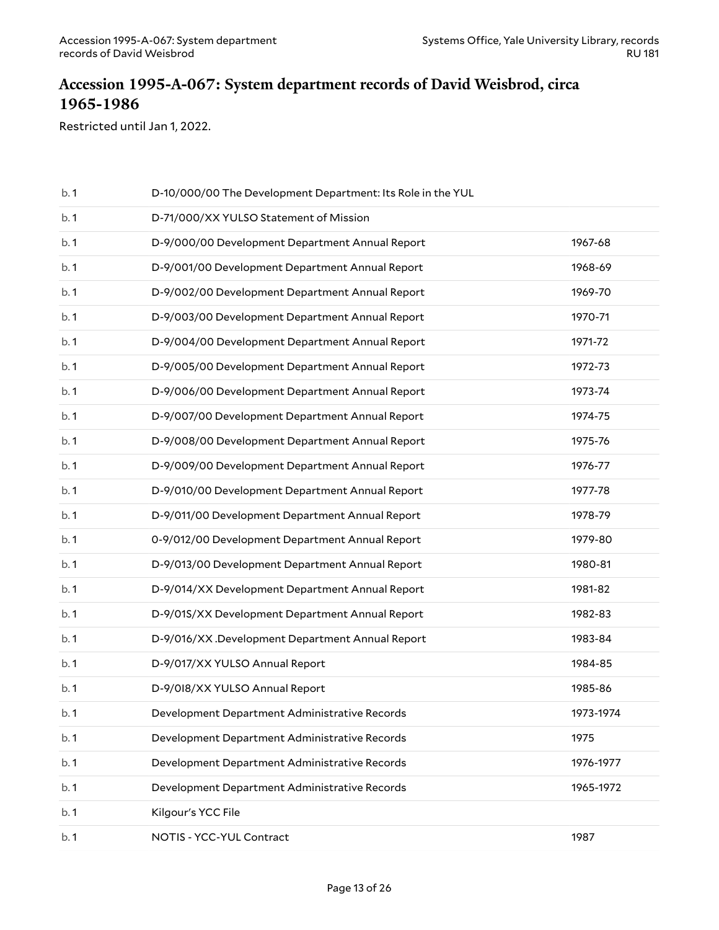### <span id="page-12-0"></span>**Accession 1995-A-067: System department records of David Weisbrod, circa 1965-1986**

Restricted until Jan 1, 2022.

| b.1 | D-10/000/00 The Development Department: Its Role in the YUL |           |
|-----|-------------------------------------------------------------|-----------|
| b.1 | D-71/000/XX YULSO Statement of Mission                      |           |
| b.1 | D-9/000/00 Development Department Annual Report             | 1967-68   |
| b.1 | D-9/001/00 Development Department Annual Report             | 1968-69   |
| b.1 | D-9/002/00 Development Department Annual Report             | 1969-70   |
| b.1 | D-9/003/00 Development Department Annual Report             | 1970-71   |
| b.1 | D-9/004/00 Development Department Annual Report             | 1971-72   |
| b.1 | D-9/005/00 Development Department Annual Report             | 1972-73   |
| b.1 | D-9/006/00 Development Department Annual Report             | 1973-74   |
| b.1 | D-9/007/00 Development Department Annual Report             | 1974-75   |
| b.1 | D-9/008/00 Development Department Annual Report             | 1975-76   |
| b.1 | D-9/009/00 Development Department Annual Report             | 1976-77   |
| b.1 | D-9/010/00 Development Department Annual Report             | 1977-78   |
| b.1 | D-9/011/00 Development Department Annual Report             | 1978-79   |
| b.1 | 0-9/012/00 Development Department Annual Report             | 1979-80   |
| b.1 | D-9/013/00 Development Department Annual Report             | 1980-81   |
| b.1 | D-9/014/XX Development Department Annual Report             | 1981-82   |
| b.1 | D-9/01S/XX Development Department Annual Report             | 1982-83   |
| b.1 | D-9/016/XX .Development Department Annual Report            | 1983-84   |
| b.1 | D-9/017/XX YULSO Annual Report                              | 1984-85   |
| b.1 | D-9/018/XX YULSO Annual Report                              | 1985-86   |
| b.1 | Development Department Administrative Records               | 1973-1974 |
| b.1 | Development Department Administrative Records               | 1975      |
| b.1 | Development Department Administrative Records               | 1976-1977 |
| b.1 | Development Department Administrative Records               | 1965-1972 |
| b.1 | Kilgour's YCC File                                          |           |
| b.1 | NOTIS - YCC-YUL Contract                                    | 1987      |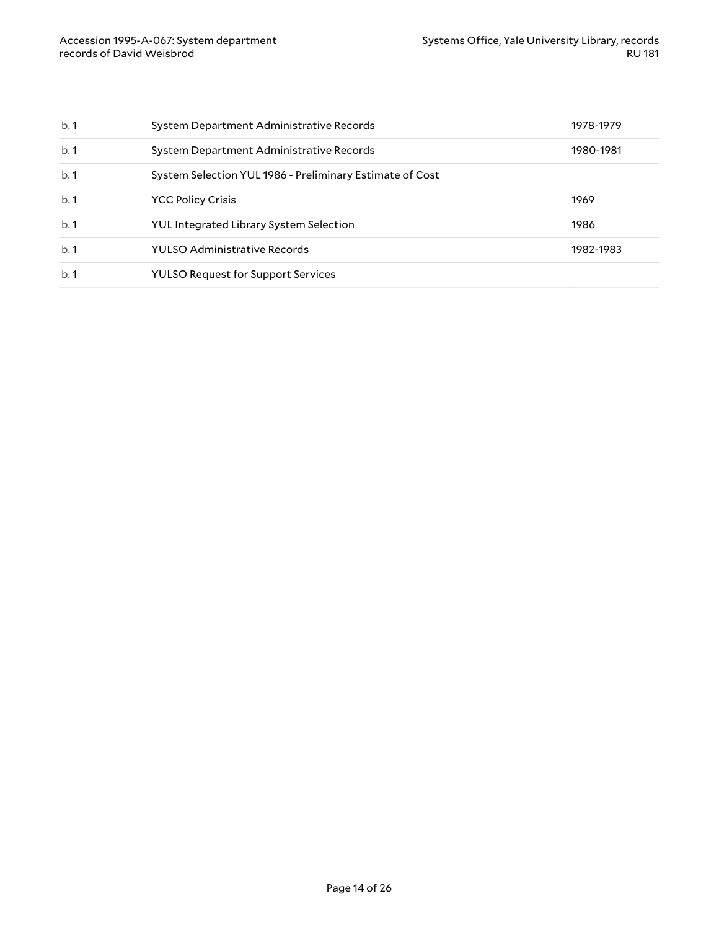| b.1 | System Department Administrative Records                 | 1978-1979 |
|-----|----------------------------------------------------------|-----------|
| b.1 | System Department Administrative Records                 | 1980-1981 |
| b.1 | System Selection YUL 1986 - Preliminary Estimate of Cost |           |
| b.1 | <b>YCC Policy Crisis</b>                                 | 1969      |
| b.1 | <b>YUL Integrated Library System Selection</b>           | 1986      |
| b.1 | YULSO Administrative Records                             | 1982-1983 |
| b.1 | <b>YULSO Request for Support Services</b>                |           |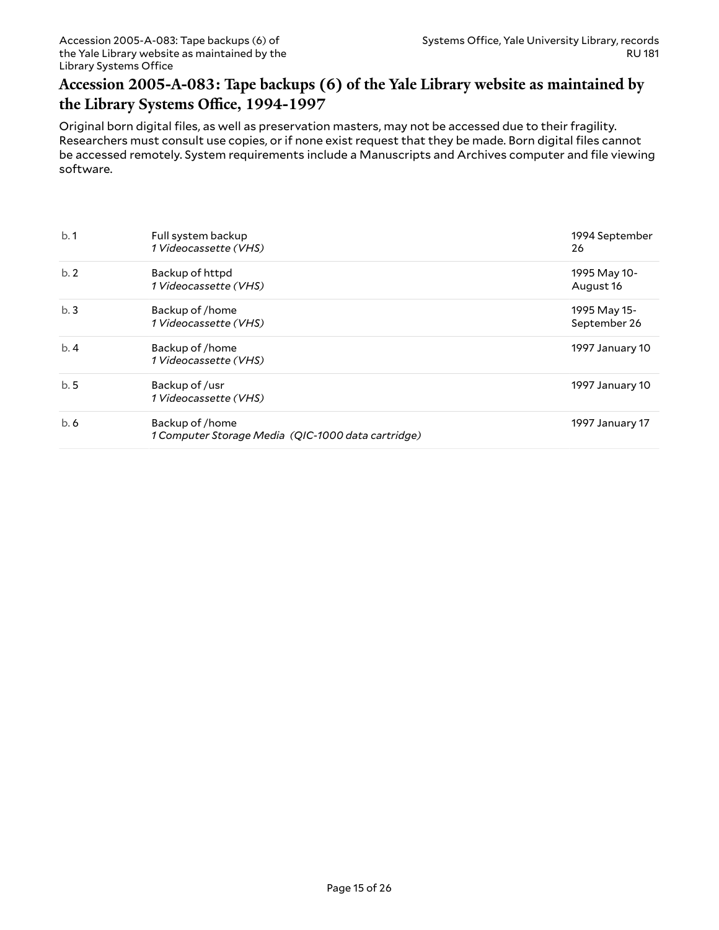### <span id="page-14-0"></span>**Accession 2005-A-083: Tape backups (6) of the Yale Library website as maintained by the Library Systems Office, 1994-1997**

Original born digital files, as well as preservation masters, may not be accessed due to their fragility. Researchers must consult use copies, or if none exist request that they be made. Born digital files cannot be accessed remotely. System requirements include a Manuscripts and Archives computer and file viewing software.

| b.1 | Full system backup<br>1 Videocassette (VHS)                           | 1994 September<br>26         |
|-----|-----------------------------------------------------------------------|------------------------------|
| b.2 | Backup of httpd<br>1 Videocassette (VHS)                              | 1995 May 10-<br>August 16    |
| b.3 | Backup of /home<br>1 Videocassette (VHS)                              | 1995 May 15-<br>September 26 |
| b.4 | Backup of /home<br>1 Videocassette (VHS)                              | 1997 January 10              |
| b.5 | Backup of /usr<br>1 Videocassette (VHS)                               | 1997 January 10              |
| b.6 | Backup of /home<br>1 Computer Storage Media (QIC-1000 data cartridge) | 1997 January 17              |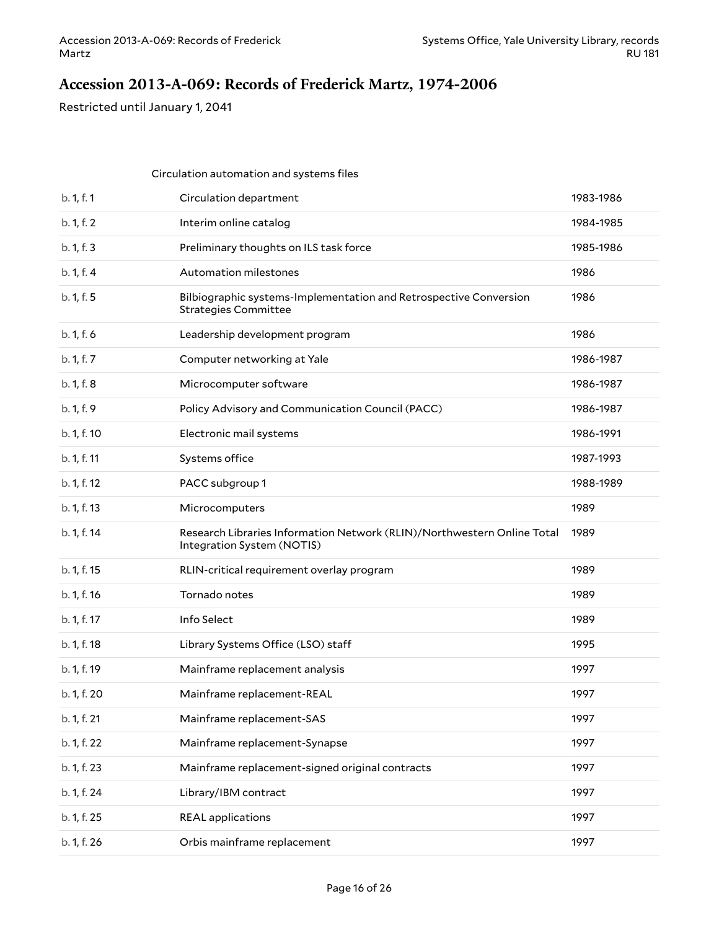## <span id="page-15-0"></span>**Accession 2013-A-069: Records of Frederick Martz, 1974-2006**

Restricted until January 1, 2041

|             | Circulation automation and systems files                                                              |           |
|-------------|-------------------------------------------------------------------------------------------------------|-----------|
| b. 1, f. 1  | Circulation department                                                                                | 1983-1986 |
| b. 1, f. 2  | Interim online catalog                                                                                | 1984-1985 |
| b. 1, f. 3  | Preliminary thoughts on ILS task force                                                                | 1985-1986 |
| b. 1, f. 4  | Automation milestones                                                                                 | 1986      |
| b. 1, f. 5  | Bilbiographic systems-Implementation and Retrospective Conversion<br><b>Strategies Committee</b>      | 1986      |
| b. 1, f. 6  | Leadership development program                                                                        | 1986      |
| b. 1, f. 7  | Computer networking at Yale                                                                           | 1986-1987 |
| b. 1, f. 8  | Microcomputer software                                                                                | 1986-1987 |
| b. 1, f. 9  | Policy Advisory and Communication Council (PACC)                                                      | 1986-1987 |
| b. 1, f. 10 | Electronic mail systems                                                                               | 1986-1991 |
| b. 1, f. 11 | Systems office                                                                                        | 1987-1993 |
| b. 1, f. 12 | PACC subgroup 1                                                                                       | 1988-1989 |
| b. 1, f. 13 | Microcomputers                                                                                        | 1989      |
| b. 1, f. 14 | Research Libraries Information Network (RLIN)/Northwestern Online Total<br>Integration System (NOTIS) | 1989      |
| b. 1, f. 15 | RLIN-critical requirement overlay program                                                             | 1989      |
| b. 1, f. 16 | Tornado notes                                                                                         | 1989      |
| b. 1, f. 17 | Info Select                                                                                           | 1989      |
| b. 1, f. 18 | Library Systems Office (LSO) staff                                                                    | 1995      |
| b. 1, f. 19 | Mainframe replacement analysis                                                                        | 1997      |
| b. 1, f. 20 | Mainframe replacement-REAL                                                                            | 1997      |
| b. 1, f. 21 | Mainframe replacement-SAS                                                                             | 1997      |
| b. 1, f. 22 | Mainframe replacement-Synapse                                                                         | 1997      |
| b. 1, f. 23 | Mainframe replacement-signed original contracts                                                       | 1997      |
| b. 1, f. 24 | Library/IBM contract                                                                                  | 1997      |
| b. 1, f. 25 | <b>REAL</b> applications                                                                              | 1997      |
| b. 1, f. 26 | Orbis mainframe replacement                                                                           | 1997      |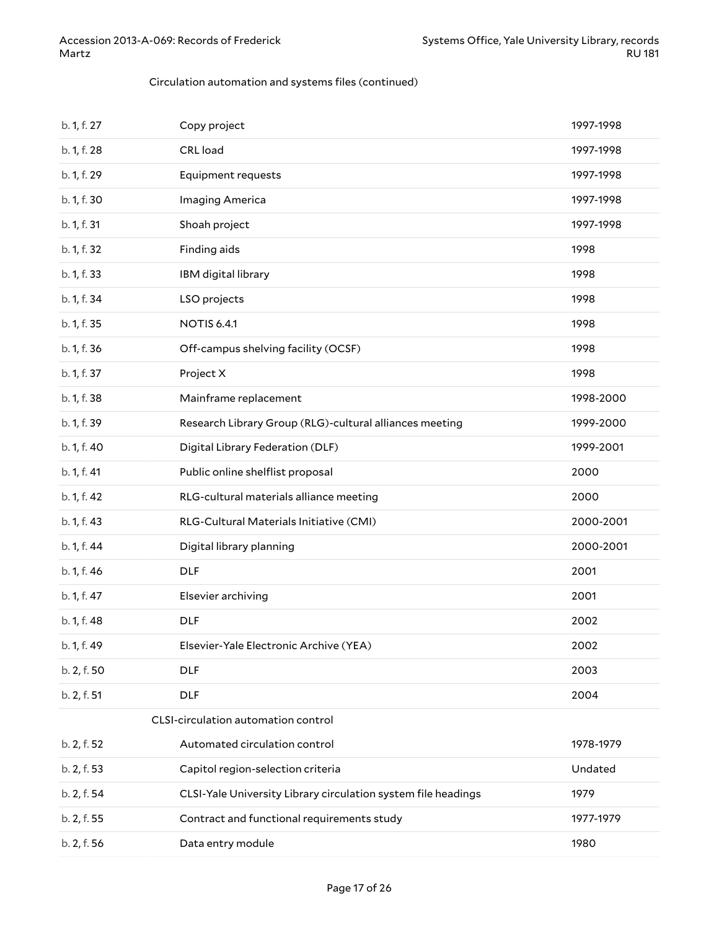#### Circulation automation and systems files (continued)

| b. 1, f. 27 | Copy project                                                  | 1997-1998 |
|-------------|---------------------------------------------------------------|-----------|
| b. 1, f. 28 | CRL load                                                      | 1997-1998 |
| b. 1, f. 29 | Equipment requests                                            | 1997-1998 |
| b. 1, f. 30 | Imaging America                                               | 1997-1998 |
| b. 1, f. 31 | Shoah project                                                 | 1997-1998 |
| b. 1, f. 32 | Finding aids                                                  | 1998      |
| b. 1, f. 33 | IBM digital library                                           | 1998      |
| b. 1, f. 34 | LSO projects                                                  | 1998      |
| b. 1, f. 35 | <b>NOTIS 6.4.1</b>                                            | 1998      |
| b. 1, f. 36 | Off-campus shelving facility (OCSF)                           | 1998      |
| b. 1, f. 37 | Project X                                                     | 1998      |
| b. 1, f. 38 | Mainframe replacement                                         | 1998-2000 |
| b. 1, f. 39 | Research Library Group (RLG)-cultural alliances meeting       | 1999-2000 |
| b. 1, f. 40 | Digital Library Federation (DLF)                              | 1999-2001 |
| b. 1, f. 41 | Public online shelflist proposal                              | 2000      |
| b. 1, f. 42 | RLG-cultural materials alliance meeting                       | 2000      |
| b. 1, f. 43 | RLG-Cultural Materials Initiative (CMI)                       | 2000-2001 |
| b. 1, f. 44 | Digital library planning                                      | 2000-2001 |
| b. 1, f. 46 | <b>DLF</b>                                                    | 2001      |
| b. 1, f. 47 | Elsevier archiving                                            | 2001      |
| b. 1, f. 48 | <b>DLF</b>                                                    | 2002      |
| b. 1, f. 49 | Elsevier-Yale Electronic Archive (YEA)                        | 2002      |
| b. 2, f. 50 | <b>DLF</b>                                                    | 2003      |
| b. 2, f. 51 | <b>DLF</b>                                                    | 2004      |
|             | CLSI-circulation automation control                           |           |
| b. 2, f. 52 | Automated circulation control                                 | 1978-1979 |
| b. 2, f. 53 | Capitol region-selection criteria                             | Undated   |
| b. 2, f. 54 | CLSI-Yale University Library circulation system file headings | 1979      |
| b. 2, f. 55 | Contract and functional requirements study                    | 1977-1979 |
| b. 2, f. 56 | Data entry module                                             | 1980      |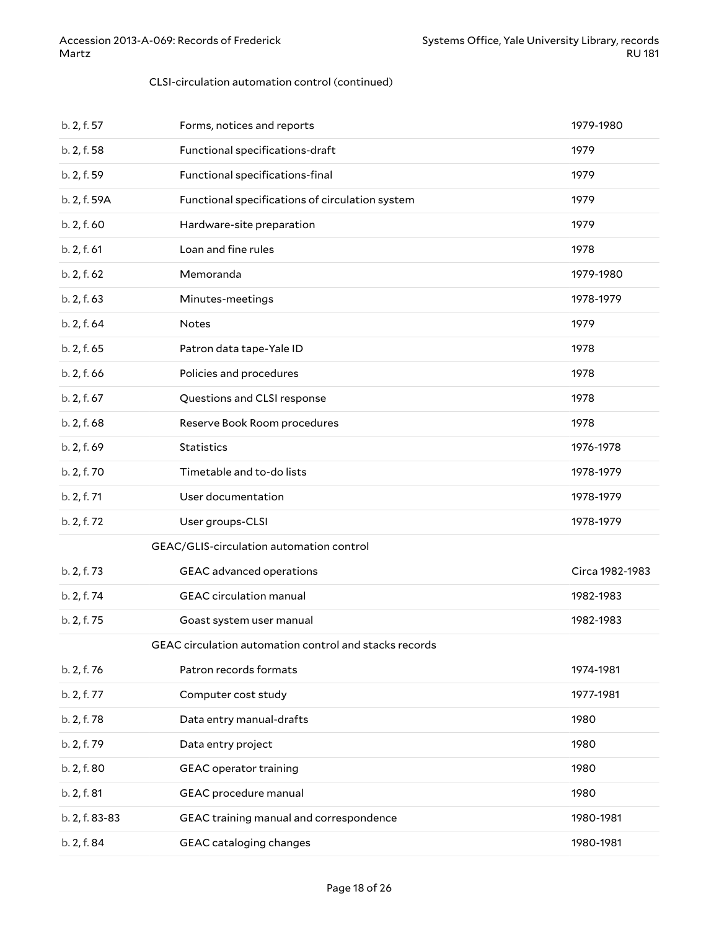#### CLSI-circulation automation control (continued)

| b. 2, f. 57    | Forms, notices and reports                             | 1979-1980       |
|----------------|--------------------------------------------------------|-----------------|
| b. 2, f. 58    | Functional specifications-draft                        | 1979            |
| b. 2, f. 59    | Functional specifications-final                        | 1979            |
| b. 2, f. 59A   | Functional specifications of circulation system        | 1979            |
| b. 2, f. 60    | Hardware-site preparation                              | 1979            |
| b. 2, f. 61    | Loan and fine rules                                    | 1978            |
| b. 2, f. 62    | Memoranda                                              | 1979-1980       |
| b. 2, f. 63    | Minutes-meetings                                       | 1978-1979       |
| b. 2, f. 64    | <b>Notes</b>                                           | 1979            |
| b. 2, f. 65    | Patron data tape-Yale ID                               | 1978            |
| b. 2, f. 66    | Policies and procedures                                | 1978            |
| b. 2, f. 67    | Questions and CLSI response                            | 1978            |
| b. 2, f. 68    | Reserve Book Room procedures                           | 1978            |
| b. 2, f. 69    | <b>Statistics</b>                                      | 1976-1978       |
| b. 2, f. 70    | Timetable and to-do lists                              | 1978-1979       |
| b. 2, f. 71    | User documentation                                     | 1978-1979       |
| b. 2, f. 72    | User groups-CLSI                                       | 1978-1979       |
|                | GEAC/GLIS-circulation automation control               |                 |
| b. 2, f. 73    | GEAC advanced operations                               | Circa 1982-1983 |
| b. 2, f. 74    | <b>GEAC</b> circulation manual                         | 1982-1983       |
| b. 2, f. 75    | Goast system user manual                               | 1982-1983       |
|                | GEAC circulation automation control and stacks records |                 |
| b. 2, f. 76    | Patron records formats                                 | 1974-1981       |
| b. 2, f. 77    | Computer cost study                                    | 1977-1981       |
| b. 2, f. 78    | Data entry manual-drafts                               | 1980            |
| b. 2, f. 79    | Data entry project                                     | 1980            |
| b. 2, f. 80    | <b>GEAC</b> operator training                          | 1980            |
| b. 2, f. 81    | GEAC procedure manual                                  | 1980            |
| b. 2, f. 83-83 | GEAC training manual and correspondence                | 1980-1981       |
| b. 2, f. 84    | GEAC cataloging changes                                | 1980-1981       |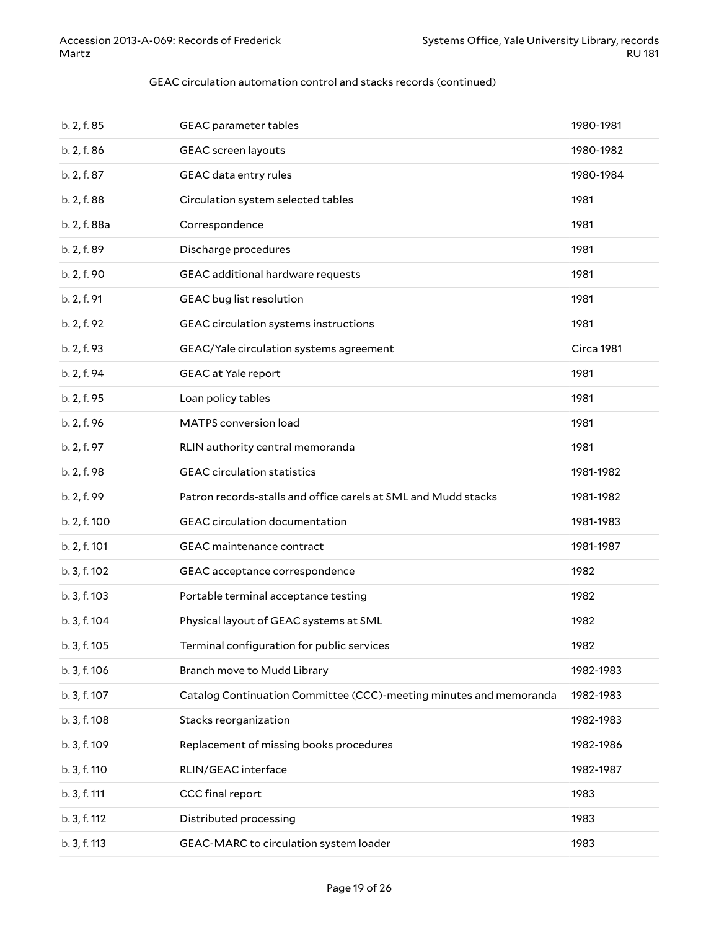#### GEAC circulation automation control and stacks records (continued)

| b. 2, f. 85  | <b>GEAC</b> parameter tables                                       | 1980-1981  |
|--------------|--------------------------------------------------------------------|------------|
| b. 2, f. 86  | GEAC screen layouts                                                | 1980-1982  |
| b. 2, f. 87  | GEAC data entry rules                                              | 1980-1984  |
| b. 2, f. 88  | Circulation system selected tables                                 | 1981       |
| b. 2, f. 88a | Correspondence                                                     | 1981       |
| b. 2, f. 89  | Discharge procedures                                               | 1981       |
| b. 2, f. 90  | GEAC additional hardware requests                                  | 1981       |
| b. 2, f. 91  | GEAC bug list resolution                                           | 1981       |
| b. 2, f. 92  | GEAC circulation systems instructions                              | 1981       |
| b. 2, f. 93  | GEAC/Yale circulation systems agreement                            | Circa 1981 |
| b. 2, f. 94  | <b>GEAC</b> at Yale report                                         | 1981       |
| b. 2, f. 95  | Loan policy tables                                                 | 1981       |
| b. 2, f. 96  | MATPS conversion load                                              | 1981       |
| b. 2, f. 97  | RLIN authority central memoranda                                   | 1981       |
| b. 2, f. 98  | <b>GEAC</b> circulation statistics                                 | 1981-1982  |
| b. 2, f. 99  | Patron records-stalls and office carels at SML and Mudd stacks     | 1981-1982  |
| b. 2, f. 100 | GEAC circulation documentation                                     | 1981-1983  |
| b. 2, f. 101 | GEAC maintenance contract                                          | 1981-1987  |
| b. 3, f. 102 | GEAC acceptance correspondence                                     | 1982       |
| b. 3, f. 103 | Portable terminal acceptance testing                               | 1982       |
| b. 3, f. 104 | Physical layout of GEAC systems at SML                             | 1982       |
| b. 3, f. 105 | Terminal configuration for public services                         | 1982       |
| b. 3, f. 106 | Branch move to Mudd Library                                        | 1982-1983  |
| b. 3, f. 107 | Catalog Continuation Committee (CCC)-meeting minutes and memoranda | 1982-1983  |
| b. 3, f. 108 | Stacks reorganization                                              | 1982-1983  |
| b. 3, f. 109 | Replacement of missing books procedures                            | 1982-1986  |
| b. 3, f. 110 | RLIN/GEAC interface                                                | 1982-1987  |
| b. 3, f. 111 | CCC final report                                                   | 1983       |
| b. 3, f. 112 | Distributed processing                                             | 1983       |
| b. 3, f. 113 | GEAC-MARC to circulation system loader                             | 1983       |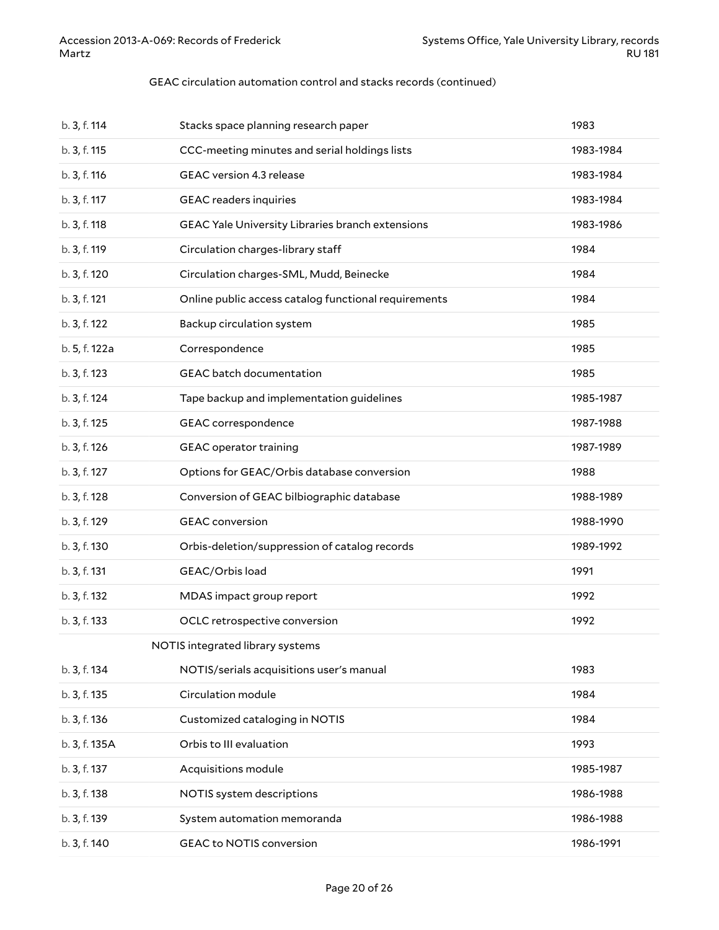#### GEAC circulation automation control and stacks records (continued)

| b. 3, f. 114  | Stacks space planning research paper                 | 1983      |
|---------------|------------------------------------------------------|-----------|
| b. 3, f. 115  | CCC-meeting minutes and serial holdings lists        | 1983-1984 |
| b. 3, f. 116  | GEAC version 4.3 release                             | 1983-1984 |
| b. 3, f. 117  | <b>GEAC</b> readers inquiries                        | 1983-1984 |
| b. 3, f. 118  | GEAC Yale University Libraries branch extensions     | 1983-1986 |
| b. 3, f. 119  | Circulation charges-library staff                    | 1984      |
| b. 3, f. 120  | Circulation charges-SML, Mudd, Beinecke              | 1984      |
| b. 3, f. 121  | Online public access catalog functional requirements | 1984      |
| b. 3, f. 122  | Backup circulation system                            | 1985      |
| b. 5, f. 122a | Correspondence                                       | 1985      |
| b. 3, f. 123  | <b>GEAC</b> batch documentation                      | 1985      |
| b. 3, f. 124  | Tape backup and implementation guidelines            | 1985-1987 |
| b. 3, f. 125  | GEAC correspondence                                  | 1987-1988 |
| b. 3, f. 126  | <b>GEAC</b> operator training                        | 1987-1989 |
| b. 3, f. 127  | Options for GEAC/Orbis database conversion           | 1988      |
| b. 3, f. 128  | Conversion of GEAC bilbiographic database            | 1988-1989 |
| b. 3, f. 129  | <b>GEAC</b> conversion                               | 1988-1990 |
| b. 3, f. 130  | Orbis-deletion/suppression of catalog records        | 1989-1992 |
| b. 3, f. 131  | GEAC/Orbis load                                      | 1991      |
| b. 3, f. 132  | MDAS impact group report                             | 1992      |
| b. 3, f. 133  | OCLC retrospective conversion                        | 1992      |
|               | NOTIS integrated library systems                     |           |
| b. 3, f. 134  | NOTIS/serials acquisitions user's manual             | 1983      |
| b. 3, f. 135  | Circulation module                                   | 1984      |
| b. 3, f. 136  | Customized cataloging in NOTIS                       | 1984      |
| b. 3, f. 135A | Orbis to III evaluation                              | 1993      |
| b. 3, f. 137  | Acquisitions module                                  | 1985-1987 |
| b. 3, f. 138  | NOTIS system descriptions                            | 1986-1988 |
| b. 3, f. 139  | System automation memoranda                          | 1986-1988 |
| b. 3, f. 140  | <b>GEAC to NOTIS conversion</b>                      | 1986-1991 |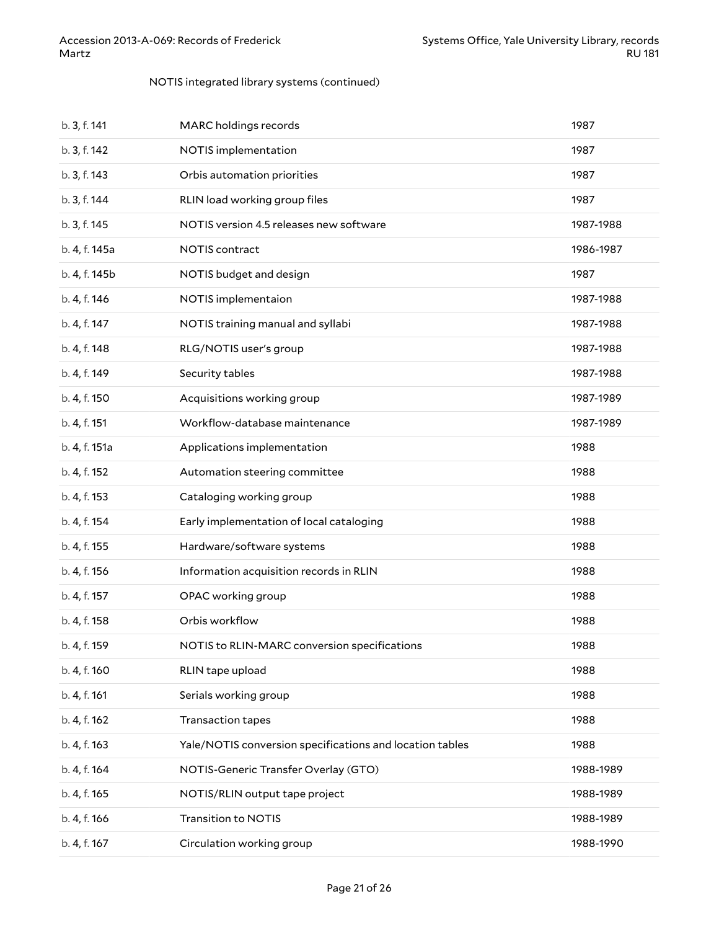#### NOTIS integrated library systems (continued)

| b. 3, f. 141  | MARC holdings records                                    | 1987      |
|---------------|----------------------------------------------------------|-----------|
| b. 3, f. 142  | NOTIS implementation                                     | 1987      |
| b. 3, f. 143  | Orbis automation priorities                              | 1987      |
| b. 3, f. 144  | RLIN load working group files                            | 1987      |
| b. 3, f. 145  | NOTIS version 4.5 releases new software                  | 1987-1988 |
| b. 4, f. 145a | NOTIS contract                                           | 1986-1987 |
| b. 4, f. 145b | NOTIS budget and design                                  | 1987      |
| b. 4, f. 146  | NOTIS implementaion                                      | 1987-1988 |
| b. 4, f. 147  | NOTIS training manual and syllabi                        | 1987-1988 |
| b. 4, f. 148  | RLG/NOTIS user's group                                   | 1987-1988 |
| b. 4, f. 149  | Security tables                                          | 1987-1988 |
| b. 4, f. 150  | Acquisitions working group                               | 1987-1989 |
| b. 4, f. 151  | Workflow-database maintenance                            | 1987-1989 |
| b. 4, f. 151a | Applications implementation                              | 1988      |
| b. 4, f. 152  | Automation steering committee                            | 1988      |
| b. 4, f. 153  | Cataloging working group                                 | 1988      |
| b. 4, f. 154  | Early implementation of local cataloging                 | 1988      |
| b. 4, f. 155  | Hardware/software systems                                | 1988      |
| b. 4, f. 156  | Information acquisition records in RLIN                  | 1988      |
| b. 4, f. 157  | OPAC working group                                       | 1988      |
| b. 4, f. 158  | Orbis workflow                                           | 1988      |
| b. 4, f. 159  | NOTIS to RLIN-MARC conversion specifications             | 1988      |
| b. 4, f. 160  | RLIN tape upload                                         | 1988      |
| b. 4, f. 161  | Serials working group                                    | 1988      |
| b. 4, f. 162  | Transaction tapes                                        | 1988      |
| b. 4, f. 163  | Yale/NOTIS conversion specifications and location tables | 1988      |
| b. 4, f. 164  | NOTIS-Generic Transfer Overlay (GTO)                     | 1988-1989 |
| b. 4, f. 165  | NOTIS/RLIN output tape project                           | 1988-1989 |
| b. 4, f. 166  | <b>Transition to NOTIS</b>                               | 1988-1989 |
| b. 4, f. 167  | Circulation working group                                | 1988-1990 |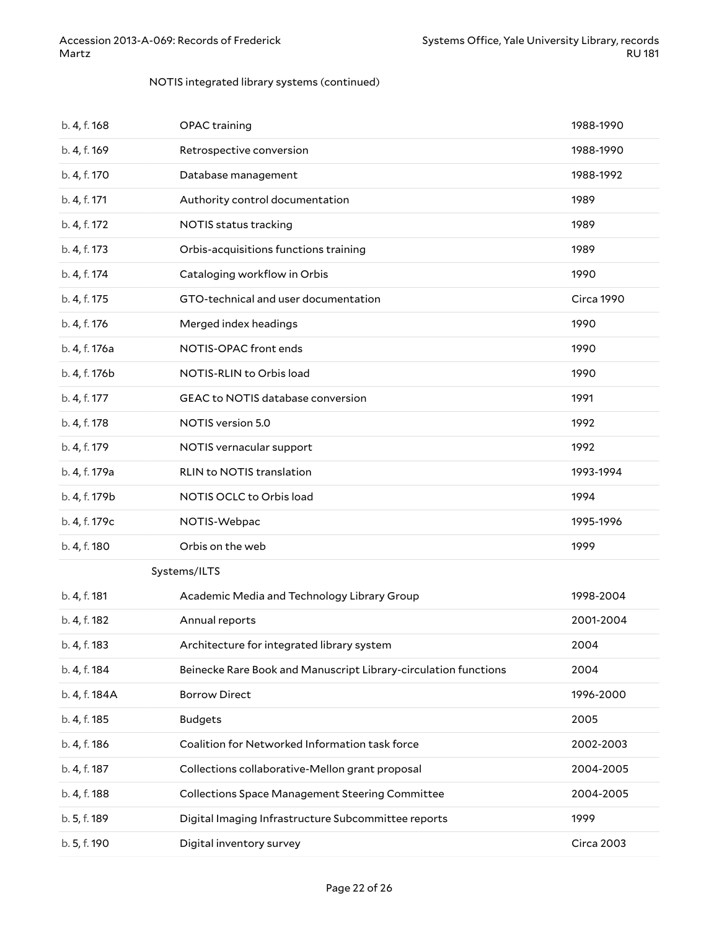#### NOTIS integrated library systems (continued)

| b. 4, f. 168  | OPAC training                                                   | 1988-1990         |
|---------------|-----------------------------------------------------------------|-------------------|
| b. 4, f. 169  | Retrospective conversion                                        | 1988-1990         |
| b. 4, f. 170  | Database management                                             | 1988-1992         |
| b. 4, f. 171  | Authority control documentation                                 | 1989              |
| b. 4, f. 172  | NOTIS status tracking                                           | 1989              |
| b. 4, f. 173  | Orbis-acquisitions functions training                           | 1989              |
| b. 4, f. 174  | Cataloging workflow in Orbis                                    | 1990              |
| b. 4, f. 175  | GTO-technical and user documentation                            | Circa 1990        |
| b. 4, f. 176  | Merged index headings                                           | 1990              |
| b. 4, f. 176a | NOTIS-OPAC front ends                                           | 1990              |
| b. 4, f. 176b | NOTIS-RLIN to Orbis load                                        | 1990              |
| b. 4, f. 177  | <b>GEAC to NOTIS database conversion</b>                        | 1991              |
| b. 4, f. 178  | NOTIS version 5.0                                               | 1992              |
| b. 4, f. 179  | NOTIS vernacular support                                        | 1992              |
| b. 4, f. 179a | RLIN to NOTIS translation                                       | 1993-1994         |
| b. 4, f. 179b | NOTIS OCLC to Orbis load                                        | 1994              |
| b. 4, f. 179c | NOTIS-Webpac                                                    | 1995-1996         |
| b. 4, f. 180  | Orbis on the web                                                | 1999              |
|               | Systems/ILTS                                                    |                   |
| b. 4, f. 181  | Academic Media and Technology Library Group                     | 1998-2004         |
| b. 4, f. 182  | Annual reports                                                  | 2001-2004         |
| b. 4, f. 183  | Architecture for integrated library system                      | 2004              |
| b. 4, f. 184  | Beinecke Rare Book and Manuscript Library-circulation functions | 2004              |
| b. 4, f. 184A | <b>Borrow Direct</b>                                            | 1996-2000         |
| b. 4, f. 185  | <b>Budgets</b>                                                  | 2005              |
| b. 4, f. 186  | Coalition for Networked Information task force                  | 2002-2003         |
| b. 4, f. 187  | Collections collaborative-Mellon grant proposal                 | 2004-2005         |
| b. 4, f. 188  | <b>Collections Space Management Steering Committee</b>          | 2004-2005         |
| b. 5, f. 189  | Digital Imaging Infrastructure Subcommittee reports             | 1999              |
| b. 5, f. 190  | Digital inventory survey                                        | <b>Circa 2003</b> |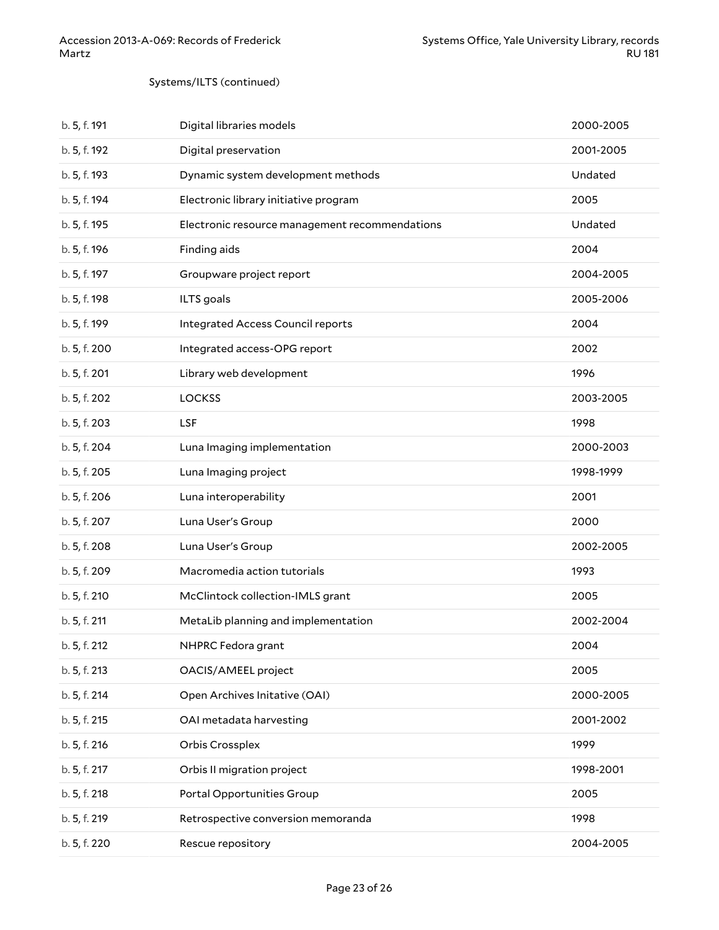#### Systems/ILTS (continued)

| b. 5, f. 191 | Digital libraries models                       | 2000-2005 |
|--------------|------------------------------------------------|-----------|
| b. 5, f. 192 | Digital preservation                           | 2001-2005 |
| b. 5, f. 193 | Dynamic system development methods             | Undated   |
| b. 5, f. 194 | Electronic library initiative program          | 2005      |
| b. 5, f. 195 | Electronic resource management recommendations | Undated   |
| b. 5, f. 196 | Finding aids                                   | 2004      |
| b. 5, f. 197 | Groupware project report                       | 2004-2005 |
| b. 5, f. 198 | ILTS goals                                     | 2005-2006 |
| b. 5, f. 199 | Integrated Access Council reports              | 2004      |
| b. 5, f. 200 | Integrated access-OPG report                   | 2002      |
| b. 5, f. 201 | Library web development                        | 1996      |
| b. 5, f. 202 | <b>LOCKSS</b>                                  | 2003-2005 |
| b. 5, f. 203 | LSF                                            | 1998      |
| b. 5, f. 204 | Luna Imaging implementation                    | 2000-2003 |
| b. 5, f. 205 | Luna Imaging project                           | 1998-1999 |
| b. 5, f. 206 | Luna interoperability                          | 2001      |
| b. 5, f. 207 | Luna User's Group                              | 2000      |
| b. 5, f. 208 | Luna User's Group                              | 2002-2005 |
| b. 5, f. 209 | Macromedia action tutorials                    | 1993      |
| b. 5, f. 210 | McClintock collection-IMLS grant               | 2005      |
| b. 5, f. 211 | MetaLib planning and implementation            | 2002-2004 |
| b. 5, f. 212 | NHPRC Fedora grant                             | 2004      |
| b. 5, f. 213 | OACIS/AMEEL project                            | 2005      |
| b. 5, f. 214 | Open Archives Initative (OAI)                  | 2000-2005 |
| b. 5, f. 215 | OAI metadata harvesting                        | 2001-2002 |
| b. 5, f. 216 | Orbis Crossplex                                | 1999      |
| b. 5, f. 217 | Orbis II migration project                     | 1998-2001 |
| b. 5, f. 218 | Portal Opportunities Group                     | 2005      |
| b. 5, f. 219 | Retrospective conversion memoranda             | 1998      |
| b. 5, f. 220 | Rescue repository                              | 2004-2005 |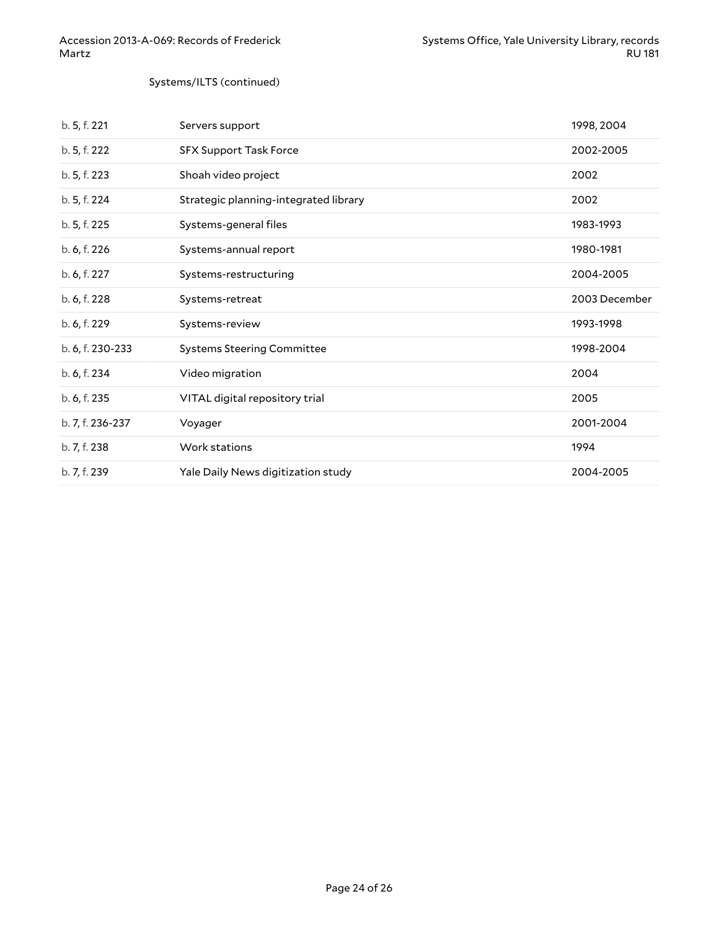#### Systems/ILTS (continued)

| b. 5, f. 221     | Servers support                       | 1998, 2004    |
|------------------|---------------------------------------|---------------|
| b. 5, f. 222     | <b>SFX Support Task Force</b>         | 2002-2005     |
| b. 5, f. 223     | Shoah video project                   | 2002          |
| b. 5, f. 224     | Strategic planning-integrated library | 2002          |
| b. 5, f. 225     | Systems-general files                 | 1983-1993     |
| b. 6, f. 226     | Systems-annual report                 | 1980-1981     |
| b. 6, f. 227     | Systems-restructuring                 | 2004-2005     |
| b. 6, f. 228     | Systems-retreat                       | 2003 December |
| b. 6, f. 229     | Systems-review                        | 1993-1998     |
| b. 6, f. 230-233 | <b>Systems Steering Committee</b>     | 1998-2004     |
| b. 6, f. 234     | Video migration                       | 2004          |
| b. 6, f. 235     | VITAL digital repository trial        | 2005          |
| b. 7, f. 236-237 | Voyager                               | 2001-2004     |
| b. 7, f. 238     | Work stations                         | 1994          |
| b. 7, f. 239     | Yale Daily News digitization study    | 2004-2005     |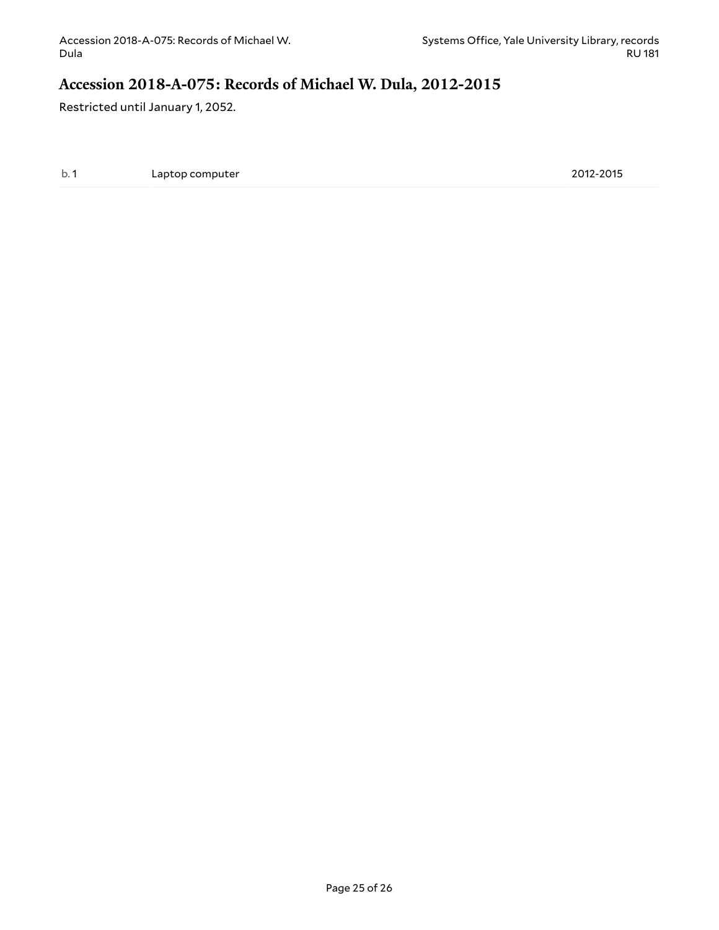### <span id="page-24-0"></span>**Accession 2018-A-075: Records of Michael W. Dula, 2012-2015**

Restricted until January 1, 2052.

b. 1 Laptop computer 2012-2015